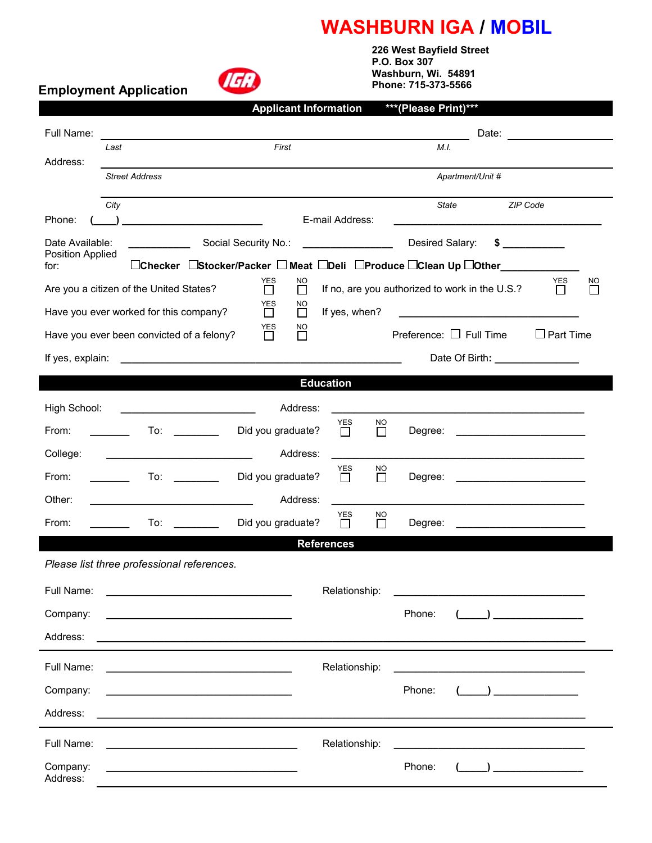## **WASHBURN IGA / MOBIL**

**IGA** 

**Employment Application** 

 **226 West Bayfield Street P.O. Box 307 Washburn, Wi. 54891 Phone: 715-373-5566** 

|                                                                                                                                                                                                                                                    | <b>Applicant Information</b>                                                                                         | ***(Please Print)***                           |                                                                                                                                                                                                                               |  |
|----------------------------------------------------------------------------------------------------------------------------------------------------------------------------------------------------------------------------------------------------|----------------------------------------------------------------------------------------------------------------------|------------------------------------------------|-------------------------------------------------------------------------------------------------------------------------------------------------------------------------------------------------------------------------------|--|
| Full Name:                                                                                                                                                                                                                                         |                                                                                                                      |                                                | Date: and the contract of the contract of the contract of the contract of the contract of the contract of the contract of the contract of the contract of the contract of the contract of the contract of the contract of the |  |
| Last<br>Address:                                                                                                                                                                                                                                   | First                                                                                                                | M.I.                                           |                                                                                                                                                                                                                               |  |
| <b>Street Address</b>                                                                                                                                                                                                                              |                                                                                                                      | Apartment/Unit #                               |                                                                                                                                                                                                                               |  |
| City                                                                                                                                                                                                                                               |                                                                                                                      | State                                          | ZIP Code                                                                                                                                                                                                                      |  |
| Phone:                                                                                                                                                                                                                                             | E-mail Address:                                                                                                      |                                                |                                                                                                                                                                                                                               |  |
| Date Available:<br>Position Applied                                                                                                                                                                                                                | Social Security No.:                                                                                                 | Desired Salary:                                | $\sim$                                                                                                                                                                                                                        |  |
| □Checker □Stocker/Packer □ Meat □Deli □Produce □Clean Up □Other_______<br>for:                                                                                                                                                                     |                                                                                                                      |                                                |                                                                                                                                                                                                                               |  |
| Are you a citizen of the United States?                                                                                                                                                                                                            | YES<br>NO<br>П<br>ΙI                                                                                                 | If no, are you authorized to work in the U.S.? | YES<br>NO                                                                                                                                                                                                                     |  |
| Have you ever worked for this company?                                                                                                                                                                                                             | YES<br>NO<br>If yes, when?<br>$\mathsf{L}$<br>$\perp$                                                                |                                                |                                                                                                                                                                                                                               |  |
| Have you ever been convicted of a felony?                                                                                                                                                                                                          | YES<br>NO.<br>$\Box$<br>$\mathbf{L}$                                                                                 | Preference: $\Box$ Full Time                   | $\Box$ Part Time                                                                                                                                                                                                              |  |
| If yes, explain:                                                                                                                                                                                                                                   |                                                                                                                      | Date Of Birth: ________________                |                                                                                                                                                                                                                               |  |
|                                                                                                                                                                                                                                                    | <b>Education</b>                                                                                                     |                                                |                                                                                                                                                                                                                               |  |
| High School:                                                                                                                                                                                                                                       | Address:                                                                                                             |                                                |                                                                                                                                                                                                                               |  |
| From:                                                                                                                                                                                                                                              | NO.<br>YES<br>Did you graduate?<br>$\Box$<br>$\Box$                                                                  | Degree:                                        | the control of the control of the control of the control of the control of                                                                                                                                                    |  |
| College:                                                                                                                                                                                                                                           | Address:                                                                                                             |                                                |                                                                                                                                                                                                                               |  |
| From:<br>To:                                                                                                                                                                                                                                       | YES<br><u>NO</u><br>Did you graduate?<br>$\Box$<br>П                                                                 | Degree:                                        |                                                                                                                                                                                                                               |  |
| Other:                                                                                                                                                                                                                                             | Address:                                                                                                             |                                                |                                                                                                                                                                                                                               |  |
| From:<br>To:                                                                                                                                                                                                                                       | YES<br>NO<br>Did you graduate?<br>П<br>ΙI                                                                            | Degree:                                        |                                                                                                                                                                                                                               |  |
|                                                                                                                                                                                                                                                    | <b>References</b>                                                                                                    |                                                |                                                                                                                                                                                                                               |  |
| Please list three professional references.                                                                                                                                                                                                         |                                                                                                                      |                                                |                                                                                                                                                                                                                               |  |
| Full Name:                                                                                                                                                                                                                                         | Relationship:                                                                                                        |                                                |                                                                                                                                                                                                                               |  |
| Company:                                                                                                                                                                                                                                           |                                                                                                                      | Phone:                                         | $\left( \begin{array}{cc} \end{array} \right)$                                                                                                                                                                                |  |
| Address:                                                                                                                                                                                                                                           |                                                                                                                      |                                                |                                                                                                                                                                                                                               |  |
| Full Name:                                                                                                                                                                                                                                         | Relationship:                                                                                                        |                                                |                                                                                                                                                                                                                               |  |
| <u> 1980 - Johann John Stein, markin fan it ferstjer fan it ferstjer fan it ferstjer fan it ferstjer fan it fers</u><br>Company:                                                                                                                   |                                                                                                                      | Phone:                                         | $\left( \begin{array}{cc} 1 & 1 \end{array} \right)$                                                                                                                                                                          |  |
| <u> 1980 - Jan Sterling, mars and de la participation et al. (1980)</u>                                                                                                                                                                            |                                                                                                                      |                                                |                                                                                                                                                                                                                               |  |
| Address:                                                                                                                                                                                                                                           | <u> 1989 - Jan James James James James James James James James James James James James James James James James J</u> |                                                |                                                                                                                                                                                                                               |  |
| Full Name:<br><u> 1980 - Jan James James Bernard Bernard Bernard Bernard Bernard Bernard Bernard Bernard Bernard Bernard Bernard Bernard Bernard Bernard Bernard Bernard Bernard Bernard Bernard Bernard Bernard Bernard Bernard Bernard Berna</u> | Relationship:                                                                                                        |                                                |                                                                                                                                                                                                                               |  |
| Company:<br>the control of the control of the control of the control of the control of the control of<br>Address:                                                                                                                                  |                                                                                                                      | Phone:                                         | $\left(\begin{array}{c} \begin{array}{c} \begin{array}{c} \end{array}\\ \end{array}\right) \end{array}$                                                                                                                       |  |